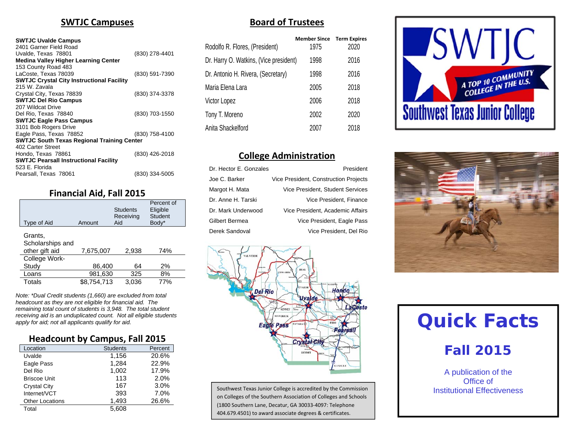#### **SWTJC Campuses**

#### **SWTJC Uvalde Campus**

| 2401 Garner Field Road                            |                |
|---------------------------------------------------|----------------|
| Uvalde, Texas 78801                               | (830) 278-4401 |
| <b>Medina Valley Higher Learning Center</b>       |                |
| 153 County Road 483                               |                |
| LaCoste, Texas 78039                              | (830) 591-7390 |
| <b>SWTJC Crystal City Instructional Facility</b>  |                |
| 215 W. Zavala                                     |                |
| Crystal City, Texas 78839                         | (830) 374-3378 |
| <b>SWTJC Del Rio Campus</b>                       |                |
| 207 Wildcat Drive                                 |                |
| Del Rio, Texas 78840                              | (830) 703-1550 |
| <b>SWTJC Eagle Pass Campus</b>                    |                |
| 3101 Bob Rogers Drive                             |                |
| Eagle Pass, Texas 78852                           | (830) 758-4100 |
| <b>SWTJC South Texas Regional Training Center</b> |                |
| 402 Carter Street                                 |                |
| Hondo, Texas 78861                                | (830) 426-2018 |
| <b>SWTJC Pearsall Instructional Facility</b>      |                |
| 523 E. Florida                                    |                |
| Pearsall, Texas 78061                             | (830) 334-5005 |
|                                                   |                |

#### **Financial Aid, Fall 2015**

| Type of Aid                                   | Amount      | <b>Students</b><br>Receiving<br>Aid | Percent of<br>Eligible<br><b>Student</b><br>Body* |
|-----------------------------------------------|-------------|-------------------------------------|---------------------------------------------------|
| Grants,<br>Scholarships and<br>other gift aid | 7,675,007   | 2,938                               | 74%                                               |
| College Work-                                 |             |                                     |                                                   |
| Study                                         | 86,400      | 64                                  | 2%                                                |
| Loans                                         | 981,630     | 325                                 | 8%                                                |
| Totals                                        | \$8.754.713 | 3.036                               | 77%                                               |

*Note: \*Dual Credit students (1,660) are excluded from total headcount as they are not eligible for financial aid. The remaining total count of students is 3,948. The total student receiving aid is an unduplicated count. Not all eligible students apply for aid; not all applicants qualify for aid.* 

#### **Headcount by Campus, Fall 2015**

| Location               | <b>Students</b> | Percent |
|------------------------|-----------------|---------|
| Uvalde                 | 1,156           | 20.6%   |
| Eagle Pass             | 1,284           | 22.9%   |
| Del Rio                | 1,002           | 17.9%   |
| <b>Briscoe Unit</b>    | 113             | 2.0%    |
| <b>Crystal City</b>    | 167             | 3.0%    |
| Internet/VCT           | 393             | 7.0%    |
| <b>Other Locations</b> | 1.493           | 26.6%   |
| Total                  | 5.608           |         |

#### **Board of Trustees**

| <b>Member Since</b> | <b>Term Expires</b><br>2020                    |
|---------------------|------------------------------------------------|
| 1998                | 2016                                           |
| 1998                | 2016                                           |
| 2005                | 2018                                           |
| 2006                | 2018                                           |
| 2002                | 2020                                           |
| 2007                | 2018                                           |
|                     | 1975<br>Dr. Harry O. Watkins, (Vice president) |

#### **College Administration**

| Dr. Hector E. Gonzales | President                             |
|------------------------|---------------------------------------|
| Joe C. Barker          | Vice President, Construction Projects |
| Margot H. Mata         | Vice President, Student Services      |
| Dr. Anne H. Tarski     | Vice President, Finance               |
| Dr. Mark Underwood     | Vice President, Academic Affairs      |
| Gilbert Bermea         | Vice President, Eagle Pass            |
| Derek Sandoval         | Vice President, Del Rio               |



Southwest Texas Junior College is accredited by the Commission on Colleges of the Southern Association of Colleges and Schools (1800 Southern Lane, Decatur, GA 30033‐4097: Telephone 404.679.4501) to award associate degrees & certificates.





# **Quick Facts**

# **Fall 2015**

A publication of the Office of Institutional Effectiveness